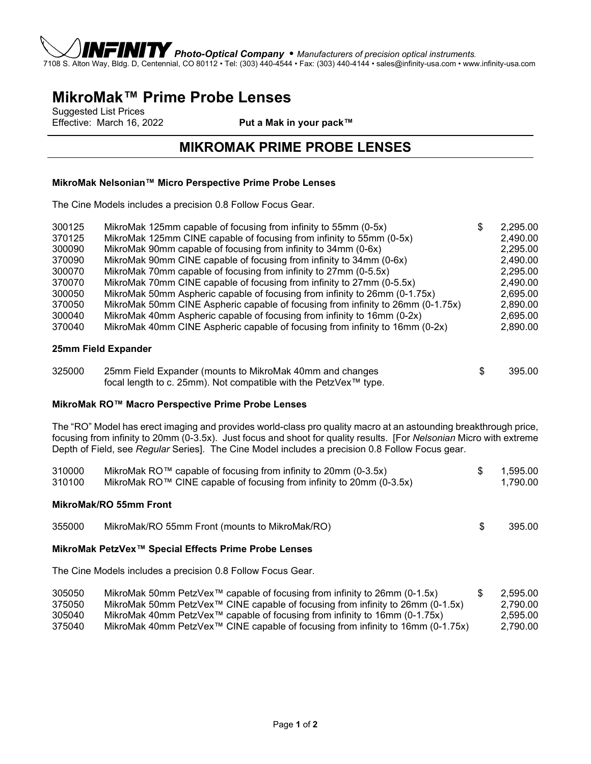

*Photo-Optical Company* • *Manufacturers of precision optical instruments.* 7108 S. Alton Way, Bldg. D, Centennial, CO 80112 • Tel: (303) 440-4544 • Fax: (303) 440-4144 • sales@infinity-usa.com • www.infinity-usa.com

# **MikroMak™ Prime Probe Lenses**

Suggested List Prices<br>Effective: March 16, 2022

Put a Mak in your pack™

## **MIKROMAK PRIME PROBE LENSES**

#### **MikroMak Nelsonian™ Micro Perspective Prime Probe Lenses**

The Cine Models includes a precision 0.8 Follow Focus Gear.

| 300125 | MikroMak 125mm capable of focusing from infinity to 55mm (0-5x)                 | \$<br>2,295.00 |
|--------|---------------------------------------------------------------------------------|----------------|
| 370125 | MikroMak 125mm CINE capable of focusing from infinity to 55mm (0-5x)            | 2,490.00       |
| 300090 | MikroMak 90mm capable of focusing from infinity to 34mm (0-6x)                  | 2,295.00       |
| 370090 | MikroMak 90mm CINE capable of focusing from infinity to 34mm (0-6x)             | 2,490.00       |
| 300070 | MikroMak 70mm capable of focusing from infinity to 27mm (0-5.5x)                | 2,295.00       |
| 370070 | MikroMak 70mm CINE capable of focusing from infinity to 27mm (0-5.5x)           | 2,490.00       |
| 300050 | MikroMak 50mm Aspheric capable of focusing from infinity to 26mm (0-1.75x)      | 2,695.00       |
| 370050 | MikroMak 50mm CINE Aspheric capable of focusing from infinity to 26mm (0-1.75x) | 2,890.00       |
| 300040 | MikroMak 40mm Aspheric capable of focusing from infinity to 16mm (0-2x)         | 2,695.00       |
| 370040 | MikroMak 40mm CINE Aspheric capable of focusing from infinity to 16mm (0-2x)    | 2,890.00       |
|        |                                                                                 |                |

#### **25mm Field Expander**

| 325000 | 25mm Field Expander (mounts to MikroMak 40mm and changes         | 395.00 |
|--------|------------------------------------------------------------------|--------|
|        | focal length to c. 25mm). Not compatible with the PetzVex™ type. |        |

#### **MikroMak RO™ Macro Perspective Prime Probe Lenses**

The "RO" Model has erect imaging and provides world-class pro quality macro at an astounding breakthrough price, focusing from infinity to 20mm (0-3.5x). Just focus and shoot for quality results. [For *Nelsonian* Micro with extreme Depth of Field, see *Regular* Series]. The Cine Model includes a precision 0.8 Follow Focus gear.

| 310000 | MikroMak RO™ capable of focusing from infinity to 20mm (0-3.5x)      | 1.595.00 |
|--------|----------------------------------------------------------------------|----------|
| 310100 | MikroMak RO™ CINE capable of focusing from infinity to 20mm (0-3.5x) | 1.790.00 |

#### **MikroMak/RO 55mm Front**

| 355000 | MikroMak/RO 55mm Front (mounts to MikroMak/RO) |  | 395.00 |
|--------|------------------------------------------------|--|--------|
|--------|------------------------------------------------|--|--------|

#### **MikroMak PetzVex™ Special Effects Prime Probe Lenses**

The Cine Models includes a precision 0.8 Follow Focus Gear.

| 305050 | MikroMak 50mm PetzVex <sup><math>m</math></sup> capable of focusing from infinity to 26mm (0-1.5x) | 2.595.00 |
|--------|----------------------------------------------------------------------------------------------------|----------|
| 375050 | MikroMak 50mm PetzVex™ CINE capable of focusing from infinity to 26mm (0-1.5x)                     | 2.790.00 |
| 305040 | MikroMak 40mm PetzVex™ capable of focusing from infinity to 16mm (0-1.75x)                         | 2.595.00 |
| 375040 | MikroMak 40mm PetzVex™ CINE capable of focusing from infinity to 16mm (0-1.75x)                    | 2.790.00 |